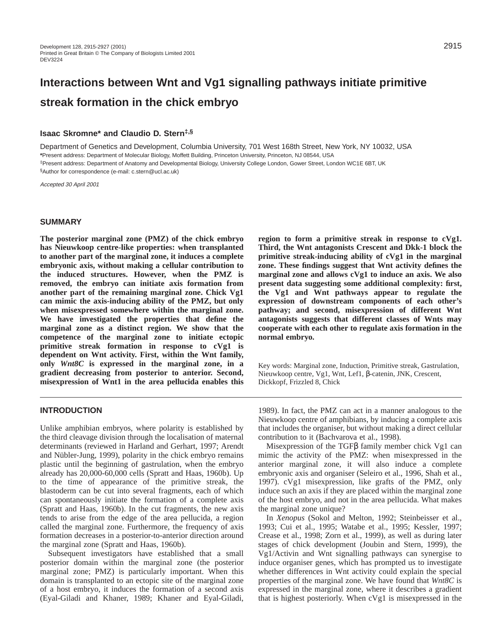# **Interactions between Wnt and Vg1 signalling pathways initiate primitive streak formation in the chick embryo**

# **Isaac Skromne\* and Claudio D. Stern‡,§**

Department of Genetics and Development, Columbia University, 701 West 168th Street, New York, NY 10032, USA **\***Present address: Department of Molecular Biology, Moffett Building, Princeton University, Princeton, NJ 08544, USA ‡Present address: Department of Anatomy and Developmental Biology, University College London, Gower Street, London WC1E 6BT, UK §Author for correspondence (e-mail: c.stern@ucl.ac.uk)

Accepted 30 April 2001

#### **SUMMARY**

**The posterior marginal zone (PMZ) of the chick embryo has Nieuwkoop centre-like properties: when transplanted to another part of the marginal zone, it induces a complete embryonic axis, without making a cellular contribution to the induced structures. However, when the PMZ is removed, the embryo can initiate axis formation from another part of the remaining marginal zone. Chick Vg1 can mimic the axis-inducing ability of the PMZ, but only when misexpressed somewhere within the marginal zone. We have investigated the properties that define the marginal zone as a distinct region. We show that the competence of the marginal zone to initiate ectopic primitive streak formation in response to cVg1 is dependent on Wnt activity. First, within the Wnt family, only** *Wnt8C* **is expressed in the marginal zone, in a gradient decreasing from posterior to anterior. Second, misexpression of Wnt1 in the area pellucida enables this**

# **INTRODUCTION**

Unlike amphibian embryos, where polarity is established by the third cleavage division through the localisation of maternal determinants (reviewed in Harland and Gerhart, 1997; Arendt and Nübler-Jung, 1999), polarity in the chick embryo remains plastic until the beginning of gastrulation, when the embryo already has 20,000-60,000 cells (Spratt and Haas, 1960b). Up to the time of appearance of the primitive streak, the blastoderm can be cut into several fragments, each of which can spontaneously initiate the formation of a complete axis (Spratt and Haas, 1960b). In the cut fragments, the new axis tends to arise from the edge of the area pellucida, a region called the marginal zone. Furthermore, the frequency of axis formation decreases in a posterior-to-anterior direction around the marginal zone (Spratt and Haas, 1960b).

Subsequent investigators have established that a small posterior domain within the marginal zone (the posterior marginal zone; PMZ) is particularly important. When this domain is transplanted to an ectopic site of the marginal zone of a host embryo, it induces the formation of a second axis (Eyal-Giladi and Khaner, 1989; Khaner and Eyal-Giladi, **region to form a primitive streak in response to cVg1. Third, the Wnt antagonists Crescent and Dkk-1 block the primitive streak-inducing ability of cVg1 in the marginal zone. These findings suggest that Wnt activity defines the marginal zone and allows cVg1 to induce an axis. We also present data suggesting some additional complexity: first, the Vg1 and Wnt pathways appear to regulate the expression of downstream components of each other's pathway; and second, misexpression of different Wnt antagonists suggests that different classes of Wnts may cooperate with each other to regulate axis formation in the normal embryo.**

Key words: Marginal zone, Induction, Primitive streak, Gastrulation, Nieuwkoop centre, Vg1, Wnt, Lef1, β-catenin, JNK, Crescent, Dickkopf, Frizzled 8, Chick

1989). In fact, the PMZ can act in a manner analogous to the Nieuwkoop centre of amphibians, by inducing a complete axis that includes the organiser, but without making a direct cellular contribution to it (Bachvarova et al., 1998).

Misexpression of the TGFβ family member chick Vg1 can mimic the activity of the PMZ: when misexpressed in the anterior marginal zone, it will also induce a complete embryonic axis and organiser (Seleiro et al., 1996, Shah et al., 1997). cVg1 misexpression, like grafts of the PMZ, only induce such an axis if they are placed within the marginal zone of the host embryo, and not in the area pellucida. What makes the marginal zone unique?

In *Xenopus* (Sokol and Melton, 1992; Steinbeisser et al., 1993; Cui et al., 1995; Watabe et al., 1995; Kessler, 1997; Crease et al., 1998; Zorn et al., 1999), as well as during later stages of chick development (Joubin and Stern, 1999), the Vg1/Activin and Wnt signalling pathways can synergise to induce organiser genes, which has prompted us to investigate whether differences in Wnt activity could explain the special properties of the marginal zone. We have found that *Wnt8C* is expressed in the marginal zone, where it describes a gradient that is highest posteriorly. When cVg1 is misexpressed in the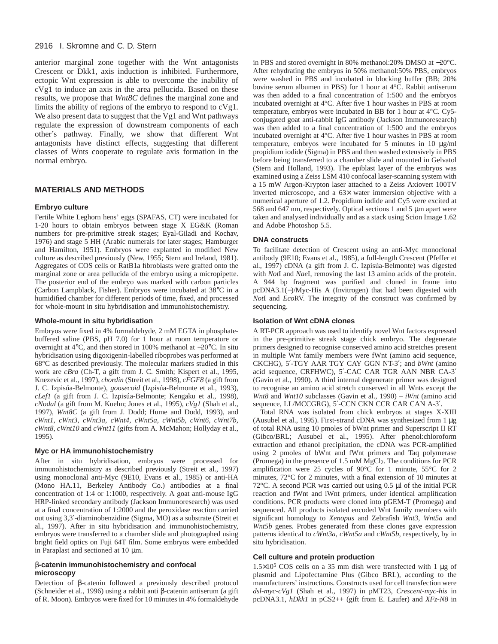# 2916 I. Skromne and C. D. Stern

anterior marginal zone together with the Wnt antagonists Crescent or Dkk1, axis induction is inhibited. Furthermore, ectopic Wnt expression is able to overcome the inability of cVg1 to induce an axis in the area pellucida. Based on these results, we propose that *Wnt8C* defines the marginal zone and limits the ability of regions of the embryo to respond to cVg1. We also present data to suggest that the Vg1 and Wnt pathways regulate the expression of downstream components of each other's pathway. Finally, we show that different Wnt antagonists have distinct effects, suggesting that different classes of Wnts cooperate to regulate axis formation in the normal embryo.

# **MATERIALS AND METHODS**

# **Embryo culture**

Fertile White Leghorn hens' eggs (SPAFAS, CT) were incubated for 1-20 hours to obtain embryos between stage X EG&K (Roman numbers for pre-primitive streak stages; Eyal-Giladi and Kochav, 1976) and stage 5 HH (Arabic numerals for later stages; Hamburger and Hamilton, 1951). Embryos were explanted in modified New culture as described previously (New, 1955; Stern and Ireland, 1981). Aggregates of COS cells or RatB1a fibroblasts were grafted onto the marginal zone or area pellucida of the embryo using a micropipette. The posterior end of the embryo was marked with carbon particles (Carbon Lampblack, Fisher). Embryos were incubated at 38°C in a humidified chamber for different periods of time, fixed, and processed for whole-mount in situ hybridisation and immunohistochemistry.

#### **Whole-mount in situ hybridisation**

Embryos were fixed in 4% formaldehyde, 2 mM EGTA in phosphatebuffered saline (PBS, pH 7.0) for 1 hour at room temperature or overnight at 4°C, and then stored in 100% methanol at −20°C. In situ hybridisation using digoxigenin-labelled riboprobes was performed at 68°C as described previously. The molecular markers studied in this work are *cBra* (Ch-T, a gift from J. C. Smith; Kispert et al., 1995, Knezevic et al., 1997), *chordin* (Streit et al., 1998), *cFGF8* (a gift from J. C. Izpisúa-Belmonte), *goosecoid* (Izpisúa-Belmonte et al., 1993), *cLef1* (a gift from J. C. Izpisúa-Belmonte; Kengaku et al., 1998), *cNodal* (a gift from M. Kuehn; Jones et al., 1995), *cVg1* (Shah et al., 1997), *Wnt8C* (a gift from J. Dodd; Hume and Dodd, 1993), and *cWnt1, cWnt3, cWnt3a, cWnt4, cWnt5a, cWnt5b, cWnt6, cWnt7b, cWnt8, cWnt10* and *cWnt11* (gifts from A. McMahon; Hollyday et al., 1995).

#### **Myc or HA immunohistochemistry**

After in situ hybridisation, embryos were processed for immunohistochemistry as described previously (Streit et al., 1997) using monoclonal anti-Myc (9E10, Evans et al., 1985) or anti-HA (Mono HA.11, Berkeley Antibody Co.) antibodies at a final concentration of 1:4 or 1:1000, respectively. A goat anti-mouse IgG HRP-linked secondary antibody (Jackson Immunoresearch) was used at a final concentration of 1:2000 and the peroxidase reaction carried out using 3,3′-diaminobenzidine (Sigma, MO) as a substrate (Streit et al., 1997). After in situ hybridisation and immunohistochemistry, embryos were transferred to a chamber slide and photographed using bright field optics on Fuji 64T film. Some embryos were embedded in Paraplast and sectioned at 10 µm.

# β**-catenin immunohistochemistry and confocal microscopy**

Detection of β-catenin followed a previously described protocol (Schneider et al., 1996) using a rabbit anti β-catenin antiserum (a gift of R. Moon). Embryos were fixed for 10 minutes in 4% formaldehyde in PBS and stored overnight in 80% methanol:20% DMSO at −20°C. After rehydrating the embryos in 50% methanol:50% PBS, embryos were washed in PBS and incubated in blocking buffer (BB; 20% bovine serum albumen in PBS) for 1 hour at 4°C. Rabbit antiserum was then added to a final concentration of 1:500 and the embryos incubated overnight at 4°C. After five 1 hour washes in PBS at room temperature, embryos were incubated in BB for 1 hour at 4°C. Cy5 conjugated goat anti-rabbit IgG antibody (Jackson Immunoresearch) was then added to a final concentration of 1:500 and the embryos incubated overnight at 4°C. After five 1 hour washes in PBS at room temperature, embryos were incubated for 5 minutes in 10 µg/ml propidium iodide (Sigma) in PBS and then washed extensively in PBS before being transferred to a chamber slide and mounted in Gelvatol (Stern and Holland, 1993). The epiblast layer of the embryos was examined using a Zeiss LSM 410 confocal laser-scanning system with a 15 mW Argon-Krypton laser attached to a Zeiss Axiovert 100TV inverted microscope, and a 63× water immersion objective with a numerical aperture of 1.2. Propidium iodide and Cy5 were excited at 568 and 647 nm, respectively. Optical sections 1 and 5 µm apart were taken and analysed individually and as a stack using Scion Image 1.62 and Adobe Photoshop 5.5.

# **DNA constructs**

To facilitate detection of Crescent using an anti-Myc monoclonal antibody (9E10; Evans et al., 1985), a full-length Crescent (Pfeffer et al., 1997) cDNA (a gift from J. C. Izpisúa-Belmonte) was digested with *Not*I and *Nae*I, removing the last 13 amino acids of the protein. A 944 bp fragment was purified and cloned in frame into pcDNA3.1(−)/Myc-His A (Invitrogen) that had been digested with *Not*I and *Eco*RV. The integrity of the construct was confirmed by sequencing.

#### **Isolation of Wnt cDNA clones**

A RT-PCR approach was used to identify novel Wnt factors expressed in the pre-primitive streak stage chick embryo. The degenerate primers designed to recognise conserved amino acid stretches present in multiple Wnt family members were fWnt (amino acid sequence, CKCHG), 5′-TGY AAR TGY CAY GGN NT-3′; and *bWnt* (amino acid sequence, CRFHWC), 5′-CAC CAR TGR AAN NBR CA-3′ (Gavin et al., 1990). A third internal degenerate primer was designed to recognise an amino acid stretch conserved in all Wnts except the *Wnt8* and *Wnt10* subclasses (Gavin et al., 1990) – *iWnt* (amino acid sequence, LL/MCCGRG), 5′-CCN CKN CCR CAR CAN A-3′.

Total RNA was isolated from chick embryos at stages X-XIII (Ausubel et al., 1995). First-strand cDNA was synthesized from 1 µg of total RNA using 10 pmoles of bWnt primer and Superscript II RT (Gibco/BRL; Ausubel et al., 1995). After phenol:chloroform extraction and ethanol precipitation, the cDNA was PCR-amplified using 2 pmoles of bWnt and fWnt primers and Taq polymerase (Promega) in the presence of 1.5 mM MgCl2. The conditions for PCR amplification were 25 cycles of 90°C for 1 minute, 55°C for 2 minutes, 72°C for 2 minutes, with a final extension of 10 minutes at 72°C. A second PCR was carried out using 0.5 µl of the initial PCR reaction and fWnt and iWnt primers, under identical amplification conditions. PCR products were cloned into pGEM-T (Promega) and sequenced. All products isolated encoded Wnt family members with significant homology to *Xenopus* and Zebrafish *Wnt3*, *Wnt5a* and *Wnt5b* genes. Probes generated from these clones gave expression patterns identical to *cWnt3a*, *cWnt5a* and *cWnt5b*, respectively, by in situ hybridisation.

#### **Cell culture and protein production**

 $1.5\times10^5$  COS cells on a 35 mm dish were transfected with 1 µg of plasmid and Lipofectamine Plus (Gibco BRL), according to the manufacturers' instructions. Constructs used for cell transfection were *dsl-myc-cVg1* (Shah et al., 1997) in pMT23, *Crescent-myc-his* in pcDNA3.1, *hDkk1* in pCS2++ (gift from E. Laufer) and *XFz-N8* in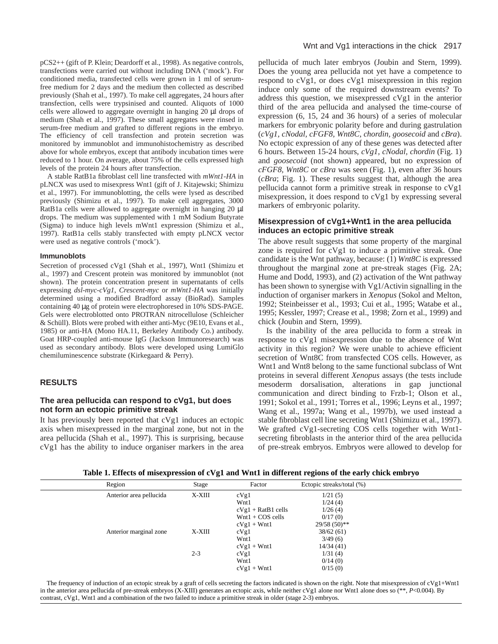pCS2++ (gift of P. Klein; Deardorff et al., 1998). As negative controls, transfections were carried out without including DNA ('mock'). For conditioned media, transfected cells were grown in 1 ml of serumfree medium for 2 days and the medium then collected as described previously (Shah et al., 1997). To make cell aggregates, 24 hours after transfection, cells were trypsinised and counted. Aliquots of 1000 cells were allowed to aggregate overnight in hanging 20 µl drops of medium (Shah et al., 1997). These small aggregates were rinsed in serum-free medium and grafted to different regions in the embryo. The efficiency of cell transfection and protein secretion was monitored by immunoblot and immunohistochemistry as described above for whole embryos, except that antibody incubation times were reduced to 1 hour. On average, about 75% of the cells expressed high levels of the protein 24 hours after transfection.

A stable RatB1a fibroblast cell line transfected with *mWnt1-HA* in pLNCX was used to misexpress Wnt1 (gift of J. Kitajewski; Shimizu et al., 1997). For immunoblotting, the cells were lysed as described previously (Shimizu et al., 1997). To make cell aggregates, 3000 RatB1a cells were allowed to aggregate overnight in hanging 20  $\mu$ l drops. The medium was supplemented with 1 mM Sodium Butyrate (Sigma) to induce high levels mWnt1 expression (Shimizu et al., 1997). RatB1a cells stably transfected with empty pLNCX vector were used as negative controls ('mock').

#### **Immunoblots**

Secretion of processed cVg1 (Shah et al., 1997), Wnt1 (Shimizu et al., 1997) and Crescent protein was monitored by immunoblot (not shown). The protein concentration present in supernatants of cells expressing *dsl-myc-cVg1*, *Crescent-myc* or *mWnt1-HA* was initially determined using a modified Bradford assay (BioRad). Samples containing 40 µg of protein were electrophoresed in 10% SDS-PAGE. Gels were electroblotted onto PROTRAN nitrocellulose (Schleicher & Schüll). Blots were probed with either anti-Myc (9E10, Evans et al., 1985) or anti-HA (Mono HA.11, Berkeley Antibody Co.) antibody. Goat HRP-coupled anti-mouse IgG (Jackson Immunoresearch) was used as secondary antibody. Blots were developed using LumiGlo chemiluminescence substrate (Kirkegaard & Perry).

# **RESULTS**

# **The area pellucida can respond to cVg1, but does not form an ectopic primitive streak**

It has previously been reported that cVg1 induces an ectopic axis when misexpressed in the marginal zone, but not in the area pellucida (Shah et al., 1997). This is surprising, because cVg1 has the ability to induce organiser markers in the area pellucida of much later embryos (Joubin and Stern, 1999). Does the young area pellucida not yet have a competence to respond to cVg1, or does cVg1 misexpression in this region induce only some of the required downstream events? To address this question, we misexpressed cVg1 in the anterior third of the area pellucida and analysed the time-course of expression (6, 15, 24 and 36 hours) of a series of molecular markers for embryonic polarity before and during gastrulation (*cVg1, cNodal, cFGF8, Wnt8C, chordin, goosecoid* and *cBra*). No ectopic expression of any of these genes was detected after 6 hours. Between 15-24 hours, *cVg1*, *cNodal, chordin* (Fig. 1) and *goosecoid* (not shown) appeared, but no expression of *cFGF8, Wnt8C* or *cBra* was seen (Fig. 1), even after 36 hours (*cBra*; Fig. 1). These results suggest that, although the area pellucida cannot form a primitive streak in response to cVg1 misexpression, it does respond to cVg1 by expressing several markers of embryonic polarity.

# **Misexpression of cVg1+Wnt1 in the area pellucida induces an ectopic primitive streak**

The above result suggests that some property of the marginal zone is required for cVg1 to induce a primitive streak. One candidate is the Wnt pathway, because: (1) *Wnt8C* is expressed throughout the marginal zone at pre-streak stages (Fig. 2A; Hume and Dodd, 1993), and (2) activation of the Wnt pathway has been shown to synergise with Vg1/Activin signalling in the induction of organiser markers in *Xenopus* (Sokol and Melton, 1992; Steinbeisser et al., 1993; Cui et al., 1995; Watabe et al., 1995; Kessler, 1997; Crease et al., 1998; Zorn et al., 1999) and chick (Joubin and Stern, 1999).

Is the inability of the area pellucida to form a streak in response to cVg1 misexpression due to the absence of Wnt activity in this region? We were unable to achieve efficient secretion of Wnt8C from transfected COS cells. However, as Wnt1 and Wnt8 belong to the same functional subclass of Wnt proteins in several different *Xenopus* assays (the tests include mesoderm dorsalisation, alterations in gap junctional communication and direct binding to Frzb-1; Olson et al., 1991; Sokol et al., 1991; Torres et al., 1996; Leyns et al., 1997; Wang et al., 1997a; Wang et al., 1997b), we used instead a stable fibroblast cell line secreting Wnt1 (Shimizu et al., 1997). We grafted cVg1-secreting COS cells together with Wnt1 secreting fibroblasts in the anterior third of the area pellucida of pre-streak embryos. Embryos were allowed to develop for

|  | Table 1. Effects of misexpression of cVg1 and Wnt1 in different regions of the early chick embryo |  |  |  |
|--|---------------------------------------------------------------------------------------------------|--|--|--|
|  |                                                                                                   |  |  |  |

| Region                  | Stage   | Factor               | Ectopic streaks/total (%) |
|-------------------------|---------|----------------------|---------------------------|
| Anterior area pellucida | X-XIII  | cVg1                 | 1/21(5)                   |
|                         |         | Wnt1                 | 1/24(4)                   |
|                         |         | $cVg1 + RatB1$ cells | 1/26(4)                   |
|                         |         | $Wnt1 + COS$ cells   | 0/17(0)                   |
|                         |         | $cVg1 + Wnt1$        | $29/58(50)*$              |
| Anterior marginal zone  | X-XIII  | cVg1                 | 38/62(61)                 |
|                         |         | Wnt1                 | 3/49(6)                   |
|                         |         | $cVg1 + Wnt1$        | 14/34(41)                 |
|                         | $2 - 3$ | cVg1                 | 1/31(4)                   |
|                         |         | Wnt1                 | 0/14(0)                   |
|                         |         | $cVg1 + Wnt1$        | 0/15(0)                   |
|                         |         |                      |                           |

The frequency of induction of an ectopic streak by a graft of cells secreting the factors indicated is shown on the right. Note that misexpression of cVg1+Wnt1 in the anterior area pellucida of pre-streak embryos (X-XIII) generates an ectopic axis, while neither cVg1 alone nor Wnt1 alone does so (\*\*, *P*<0.004). By contrast, cVg1, Wnt1 and a combination of the two failed to induce a primitive streak in older (stage 2-3) embryos.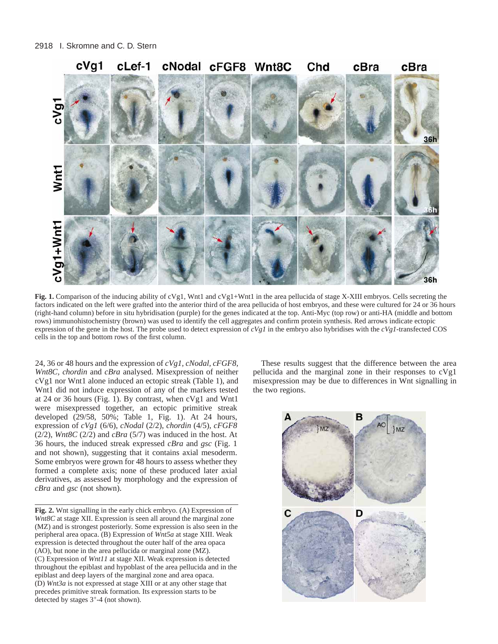

**Fig. 1.** Comparison of the inducing ability of cVg1, Wnt1 and cVg1+Wnt1 in the area pellucida of stage X-XIII embryos. Cells secreting the factors indicated on the left were grafted into the anterior third of the area pellucida of host embryos, and these were cultured for 24 or 36 hours (right-hand column) before in situ hybridisation (purple) for the genes indicated at the top. Anti-Myc (top row) or anti-HA (middle and bottom rows) immunohistochemistry (brown) was used to identify the cell aggregates and confirm protein synthesis. Red arrows indicate ectopic expression of the gene in the host. The probe used to detect expression of *cVg1* in the embryo also hybridises with the *cVg1*-transfected COS cells in the top and bottom rows of the first column.

24, 36 or 48 hours and the expression of *cVg1, cNodal, cFGF8, Wnt8C, chordin* and *cBra* analysed. Misexpression of neither cVg1 nor Wnt1 alone induced an ectopic streak (Table 1), and Wnt1 did not induce expression of any of the markers tested at 24 or 36 hours (Fig. 1). By contrast, when cVg1 and Wnt1 were misexpressed together, an ectopic primitive streak developed (29/58, 50%; Table 1, Fig. 1). At 24 hours, expression of *cVg1* (6/6), *cNodal* (2/2), *chordin* (4/5)*, cFGF8*  $(2/2)$ , *Wnt8C*  $(2/2)$  and *cBra*  $(5/7)$  was induced in the host. At 36 hours, the induced streak expressed *cBra* and *gsc* (Fig. 1 and not shown), suggesting that it contains axial mesoderm. Some embryos were grown for 48 hours to assess whether they formed a complete axis; none of these produced later axial derivatives, as assessed by morphology and the expression of *cBra* and *gsc* (not shown).

**Fig. 2.** Wnt signalling in the early chick embryo. (A) Expression of *Wnt8C* at stage XII. Expression is seen all around the marginal zone (MZ) and is strongest posteriorly. Some expression is also seen in the peripheral area opaca. (B) Expression of *Wnt5a* at stage XIII. Weak expression is detected throughout the outer half of the area opaca (AO), but none in the area pellucida or marginal zone (MZ). (C) Expression of *Wnt11* at stage XII. Weak expression is detected throughout the epiblast and hypoblast of the area pellucida and in the epiblast and deep layers of the marginal zone and area opaca. (D) *Wnt3a* is not expressed at stage XIII or at any other stage that precedes primitive streak formation. Its expression starts to be detected by stages  $3^+$ -4 (not shown).

These results suggest that the difference between the area pellucida and the marginal zone in their responses to cVg1 misexpression may be due to differences in Wnt signalling in the two regions.

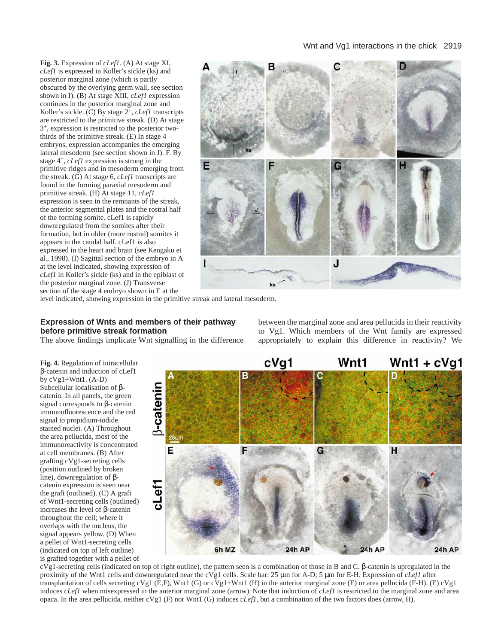# Wnt and Vg1 interactions in the chick 2919

**Fig. 3.** Expression of *cLef1*. (A) At stage XI, *cLef1* is expressed in Koller's sickle (ks) and posterior marginal zone (which is partly obscured by the overlying germ wall, see section shown in I). (B) At stage XIII, *cLef1* expression continues in the posterior marginal zone and Koller's sickle. (C) By stage 2+, *cLef1* transcripts are restricted to the primitive streak. (D) At stage 3+, expression is restricted to the posterior twothirds of the primitive streak. (E) In stage 4 embryos, expression accompanies the emerging lateral mesoderm (see section shown in J). F. By stage 4+, *cLef1* expression is strong in the primitive ridges and in mesoderm emerging from the streak. (G) At stage 6, *cLef1* transcripts are found in the forming paraxial mesoderm and primitive streak. (H) At stage 11, *cLef1* expression is seen in the remnants of the streak, the anterior segmental plates and the rostral half of the forming somite. cLef1 is rapidly downregulated from the somites after their formation, but in older (more rostral) somites it appears in the caudal half. cLef1 is also expressed in the heart and brain (see Kengaku et al., 1998). (I) Sagittal section of the embryo in A at the level indicated, showing expression of *cLef1* in Koller's sickle (ks) and in the epiblast of the posterior marginal zone. (J) Transverse section of the stage 4 embryo shown in E at the



level indicated, showing expression in the primitive streak and lateral mesoderm.

# **Expression of Wnts and members of their pathway before primitive streak formation**

The above findings implicate Wnt signalling in the difference

**Fig. 4.** Regulation of intracellular β-catenin and induction of cLef1 by  $cVg1+Wnt1.$  (A-D) Subcellular localisation of βcatenin. In all panels, the green signal corresponds to β-catenin immunofluorescence and the red signal to propidium-iodide stained nuclei. (A) Throughout the area pellucida, most of the immunoreactivity is concentrated at cell membranes. (B) After grafting cVg1-secreting cells (position outlined by broken line), downregulation of βcatenin expression is seen near the graft (outlined). (C) A graft of Wnt1-secreting cells (outlined) increases the level of β-catenin throughout the cell; where it overlaps with the nucleus, the signal appears yellow. (D) When a pellet of Wnt1-secreting cells (indicated on top of left outline) is grafted together with a pellet of

Wnt1 +  $cVg1$ cVq1 Wnt1 3-catenin Е G н cLef1 6h MZ 24h AP 24h AP **24h AP** 

cVg1-secreting cells (indicated on top of right outline), the pattern seen is a combination of those in B and C. β-catenin is upregulated in the proximity of the Wnt1 cells and downregulated near the cVg1 cells. Scale bar: 25 µm for A-D; 5 µm for E-H. Expression of *cLef1* after transplantation of cells secreting cVg1 (E,F), Wnt1 (G) or cVg1+Wnt1 (H) in the anterior marginal zone (E) or area pellucida (F-H). (E) cVg1 induces *cLef1* when misexpressed in the anterior marginal zone (arrow). Note that induction of *cLef1* is restricted to the marginal zone and area opaca. In the area pellucida, neither cVg1 (F) nor Wnt1 (G) induces *cLef1*, but a combination of the two factors does (arrow, H).

between the marginal zone and area pellucida in their reactivity to Vg1. Which members of the Wnt family are expressed appropriately to explain this difference in reactivity? We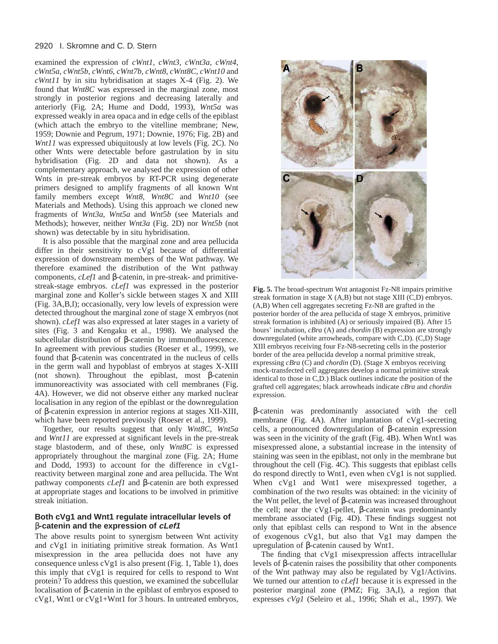#### 2920 I. Skromne and C. D. Stern

examined the expression of *cWnt1, cWnt3, cWnt3a, cWnt4, cWnt5a, cWnt5b, cWnt6, cWnt7b, cWnt8, cWnt8C, cWnt10* and *cWnt11* by in situ hybridisation at stages X-4 (Fig. 2). We found that *Wnt8C* was expressed in the marginal zone, most strongly in posterior regions and decreasing laterally and anteriorly (Fig. 2A; Hume and Dodd, 1993), *Wnt5a* was expressed weakly in area opaca and in edge cells of the epiblast (which attach the embryo to the vitelline membrane; New, 1959; Downie and Pegrum, 1971; Downie, 1976; Fig. 2B) and *Wnt11* was expressed ubiquitously at low levels (Fig. 2C). No other Wnts were detectable before gastrulation by in situ hybridisation (Fig. 2D and data not shown). As a complementary approach, we analysed the expression of other Wnts in pre-streak embryos by RT-PCR using degenerate primers designed to amplify fragments of all known Wnt family members except *Wnt8*, *Wnt8C* and *Wnt10* (see Materials and Methods). Using this approach we cloned new fragments of *Wnt3a*, *Wnt5a* and *Wnt*5*b* (see Materials and Methods); however, neither *Wnt3a* (Fig. 2D) nor *Wnt5b* (not shown) was detectable by in situ hybridisation.

It is also possible that the marginal zone and area pellucida differ in their sensitivity to cVg1 because of differential expression of downstream members of the Wnt pathway. We therefore examined the distribution of the Wnt pathway components, *cLef1* and β-catenin, in pre-streak- and primitivestreak-stage embryos. *cLef1* was expressed in the posterior marginal zone and Koller's sickle between stages X and XIII (Fig. 3A,B,I); occasionally, very low levels of expression were detected throughout the marginal zone of stage X embryos (not shown). *cLef1* was also expressed at later stages in a variety of sites (Fig. 3 and Kengaku et al., 1998). We analysed the subcellular distribution of β-catenin by immunofluorescence. In agreement with previous studies (Roeser et al., 1999), we found that β-catenin was concentrated in the nucleus of cells in the germ wall and hypoblast of embryos at stages X-XIII (not shown). Throughout the epiblast, most β-catenin immunoreactivity was associated with cell membranes (Fig. 4A). However, we did not observe either any marked nuclear localisation in any region of the epiblast or the downregulation of β-catenin expression in anterior regions at stages XII-XIII, which have been reported previously (Roeser et al., 1999).

Together, our results suggest that only *Wnt8C*, *Wnt5a* and *Wnt11* are expressed at significant levels in the pre-streak stage blastoderm, and of these, only *Wnt8C* is expressed appropriately throughout the marginal zone (Fig. 2A; Hume and Dodd, 1993) to account for the difference in cVg1 reactivity between marginal zone and area pellucida. The Wnt pathway components *cLef1* and β-catenin are both expressed at appropriate stages and locations to be involved in primitive streak initiation.

# **Both cVg1 and Wnt1 regulate intracellular levels of** β**-catenin and the expression of cLef1**

The above results point to synergism between Wnt activity and cVg1 in initiating primitive streak formation. As Wnt1 misexpression in the area pellucida does not have any consequence unless cVg1 is also present (Fig. 1, Table 1), does this imply that cVg1 is required for cells to respond to Wnt protein? To address this question, we examined the subcellular localisation of β-catenin in the epiblast of embryos exposed to cVg1, Wnt1 or cVg1+Wnt1 for 3 hours. In untreated embryos,



**Fig. 5.** The broad-spectrum Wnt antagonist Fz-N8 impairs primitive streak formation in stage X (A,B) but not stage XIII (C,D) embryos. (A,B) When cell aggregates secreting Fz-N8 are grafted in the posterior border of the area pellucida of stage X embryos, primitive streak formation is inhibited (A) or seriously impaired (B). After 15 hours' incubation, *cBra* (A) and *chordin* (B) expression are strongly downregulated (white arrowheads, compare with C,D). (C,D) Stage XIII embryos receiving four Fz-N8-secreting cells in the posterior border of the area pellucida develop a normal primitive streak, expressing *cBra* (C) and *chordin* (D). (Stage X embryos receiving mock-transfected cell aggregates develop a normal primitive streak identical to those in C,D.) Black outlines indicate the position of the grafted cell aggregates; black arrowheads indicate *cBra* and *chordin* expression.

β-catenin was predominantly associated with the cell membrane (Fig. 4A). After implantation of cVg1-secreting cells, a pronounced downregulation of β-catenin expression was seen in the vicinity of the graft (Fig. 4B). When Wnt1 was misexpressed alone, a substantial increase in the intensity of staining was seen in the epiblast, not only in the membrane but throughout the cell (Fig. 4C). This suggests that epiblast cells do respond directly to Wnt1, even when cVg1 is not supplied. When cVg1 and Wnt1 were misexpressed together, a combination of the two results was obtained: in the vicinity of the Wnt pellet, the level of β-catenin was increased throughout the cell; near the cVg1-pellet, β-catenin was predominantly membrane associated (Fig. 4D). These findings suggest not only that epiblast cells can respond to Wnt in the absence of exogenous cVg1, but also that Vg1 may dampen the upregulation of β-catenin caused by Wnt1.

The finding that cVg1 misexpression affects intracellular levels of β-catenin raises the possibility that other components of the Wnt pathway may also be regulated by Vg1/Activins. We turned our attention to *cLef1* because it is expressed in the posterior marginal zone (PMZ; Fig. 3A,I), a region that expresses *cVg1* (Seleiro et al., 1996; Shah et al., 1997). We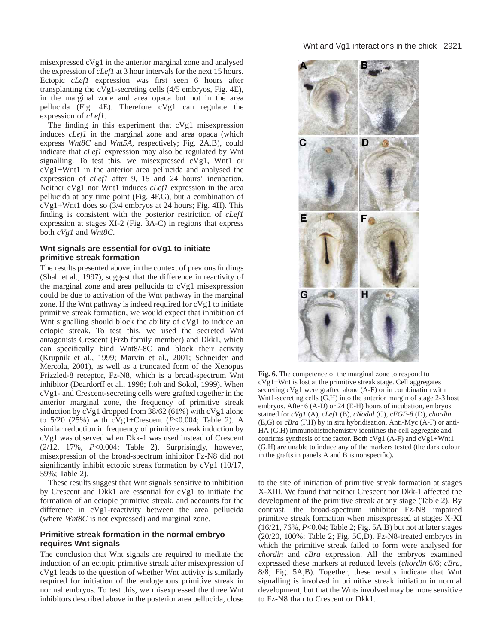misexpressed cVg1 in the anterior marginal zone and analysed the expression of *cLef1* at 3 hour intervals for the next 15 hours. Ectopic *cLef1* expression was first seen 6 hours after transplanting the cVg1-secreting cells (4/5 embryos, Fig. 4E), in the marginal zone and area opaca but not in the area pellucida (Fig. 4E). Therefore cVg1 can regulate the expression of *cLef1*.

The finding in this experiment that cVg1 misexpression induces *cLef1* in the marginal zone and area opaca (which express *Wnt8C* and *Wnt5A*, respectively; Fig. 2A,B), could indicate that *cLef1* expression may also be regulated by Wnt signalling. To test this, we misexpressed cVg1, Wnt1 or cVg1+Wnt1 in the anterior area pellucida and analysed the expression of *cLef1* after 9, 15 and 24 hours' incubation. Neither cVg1 nor Wnt1 induces *cLef1* expression in the area pellucida at any time point (Fig. 4F,G), but a combination of cVg1+Wnt1 does so (3/4 embryos at 24 hours; Fig. 4H). This finding is consistent with the posterior restriction of *cLef1* expression at stages XI-2 (Fig. 3A-C) in regions that express both *cVg1* and *Wnt8C*.

# **Wnt signals are essential for cVg1 to initiate primitive streak formation**

The results presented above, in the context of previous findings (Shah et al., 1997), suggest that the difference in reactivity of the marginal zone and area pellucida to cVg1 misexpression could be due to activation of the Wnt pathway in the marginal zone. If the Wnt pathway is indeed required for cVg1 to initiate primitive streak formation, we would expect that inhibition of Wnt signalling should block the ability of cVg1 to induce an ectopic streak. To test this, we used the secreted Wnt antagonists Crescent (Frzb family member) and Dkk1, which can specifically bind Wnt8/-8C and block their activity (Krupnik et al., 1999; Marvin et al., 2001; Schneider and Mercola, 2001), as well as a truncated form of the Xenopus Frizzled-8 receptor, Fz-N8, which is a broad-spectrum Wnt inhibitor (Deardorff et al., 1998; Itoh and Sokol, 1999). When cVg1- and Crescent-secreting cells were grafted together in the anterior marginal zone, the frequency of primitive streak induction by cVg1 dropped from 38/62 (61%) with cVg1 alone to 5/20 (25%) with cVg1+Crescent (*P*<0.004; Table 2). A similar reduction in frequency of primitive streak induction by cVg1 was observed when Dkk-1 was used instead of Crescent (2/12, 17%, *P*<0.004; Table 2). Surprisingly, however, misexpression of the broad-spectrum inhibitor Fz-N8 did not significantly inhibit ectopic streak formation by cVg1 (10/17, 59%; Table 2).

These results suggest that Wnt signals sensitive to inhibition by Crescent and Dkk1 are essential for cVg1 to initiate the formation of an ectopic primitive streak, and accounts for the difference in cVg1-reactivity between the area pellucida (where *Wnt8C* is not expressed) and marginal zone.

# **Primitive streak formation in the normal embryo requires Wnt signals**

The conclusion that Wnt signals are required to mediate the induction of an ectopic primitive streak after misexpression of cVg1 leads to the question of whether Wnt activity is similarly required for initiation of the endogenous primitive streak in normal embryos. To test this, we misexpressed the three Wnt inhibitors described above in the posterior area pellucida, close



**Fig. 6.** The competence of the marginal zone to respond to cVg1+Wnt is lost at the primitive streak stage. Cell aggregates secreting cVg1 were grafted alone (A-F) or in combination with Wnt1-secreting cells (G,H) into the anterior margin of stage 2-3 host embryos. After 6 (A-D) or 24 (E-H) hours of incubation, embryos stained for *cVg1* (A), *cLef1* (B), *cNodal* (C), *cFGF-8* (D), *chordin* (E,G) or *cBra* (F,H) by in situ hybridisation. Anti-Myc (A-F) or anti-HA (G,H) immunohistochemistry identifies the cell aggregate and confirms synthesis of the factor. Both cVg1 (A-F) and cVg1+Wnt1 (G,H) are unable to induce any of the markers tested (the dark colour in the grafts in panels A and B is nonspecific).

to the site of initiation of primitive streak formation at stages X-XIII. We found that neither Crescent nor Dkk-1 affected the development of the primitive streak at any stage (Table 2). By contrast, the broad-spectrum inhibitor Fz-N8 impaired primitive streak formation when misexpressed at stages X-XI (16/21, 76%, *P*<0.04; Table 2; Fig. 5A,B) but not at later stages (20/20, 100%; Table 2; Fig. 5C,D). Fz-N8-treated embryos in which the primitive streak failed to form were analysed for *chordin* and *cBra* expression. All the embryos examined expressed these markers at reduced levels (*chordin* 6/6; *cBra*, 8/8; Fig. 5A,B). Together, these results indicate that Wnt signalling is involved in primitive streak initiation in normal development, but that the Wnts involved may be more sensitive to Fz-N8 than to Crescent or Dkk1.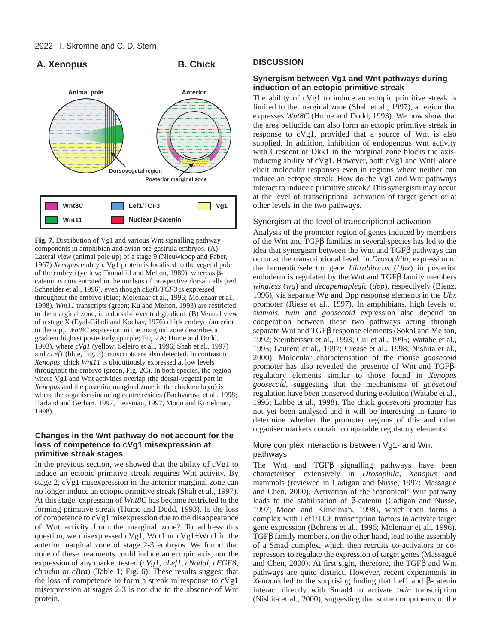# A. Xenopus B. Chick



**Fig. 7.** Distribution of Vg1 and various Wnt signalling pathway components in amphibian and avian pre-gastrula embryos. (A) Lateral view (animal pole up) of a stage 9 (Nieuwkoop and Faber, 1967) *Xenopus* embryo. Vg1 protein is localised to the vegetal pole of the embryo (yellow; Tannahill and Melton, 1989), whereas βcatenin is concentrated in the nucleus of prospective dorsal cells (red; Schneider et al., 1996), even though *cLef1/TCF3* is expressed throughout the embryo (blue; Molenaar et al., 1996; Molenaar et al., 1998). *Wnt11* transcripts (green; Ku and Melton, 1993) are restricted to the marginal zone, in a dorsal-to-ventral gradient. (B) Ventral view of a stage X (Eyal-Giladi and Kochav, 1976) chick embryo (anterior to the top). *Wnt8C* expression in the marginal zone describes a gradient highest posteriorly (purple; Fig. 2A; Hume and Dodd, 1993), where *cVg1* (yellow; Seleiro et al., 1996; Shah et al., 1997) and *cLef1* (blue, Fig. 3) transcripts are also detected. In contrast to *Xenopus*, chick *Wnt11* is ubiquitously expressed at low levels throughout the embryo (green, Fig. 2C). In both species, the region where Vg1 and Wnt activities overlap (the dorsal-vegetal part in *Xenopus* and the posterior marginal zone in the chick embryo) is where the organiser-inducing centre resides (Bachvarova et al., 1998; Harland and Gerhart, 1997, Heasman, 1997, Moon and Kimelman, 1998).

# **Changes in the Wnt pathway do not account for the loss of competence to cVg1 misexpression at primitive streak stages**

In the previous section, we showed that the ability of cVg1 to induce an ectopic primitive streak requires Wnt activity. By stage 2, cVg1 misexpression in the anterior marginal zone can no longer induce an ectopic primitive streak (Shah et al., 1997). At this stage, expression of *Wnt8C* has become restricted to the forming primitive streak (Hume and Dodd, 1993). Is the loss of competence to cVg1 misexpression due to the disappearance of Wnt activity from the marginal zone? To address this question, we misexpressed cVg1, Wnt1 or cVg1+Wnt1 in the anterior marginal zone of stage 2-3 embryos. We found that none of these treatments could induce an ectopic axis, nor the expression of any marker tested (*cVg1, cLef1, cNodal, cFGF8, chordin* or *cBra*) (Table 1; Fig. 6). These results suggest that the loss of competence to form a streak in response to cVg1 misexpression at stages 2-3 is not due to the absence of Wnt protein.

# **DISCUSSION**

# **Synergism between Vg1 and Wnt pathways during induction of an ectopic primitive streak**

The ability of cVg1 to induce an ectopic primitive streak is limited to the marginal zone (Shah et al., 1997), a region that expresses *Wnt8C* (Hume and Dodd, 1993). We now show that the area pellucida can also form an ectopic primitive streak in response to cVg1, provided that a source of Wnt is also supplied. In addition, inhibition of endogenous Wnt activity with Crescent or Dkk1 in the marginal zone blocks the axisinducing ability of cVg1. However, both cVg1 and Wnt1 alone elicit molecular responses even in regions where neither can induce an ectopic streak. How do the Vg1 and Wnt pathways interact to induce a primitive streak? This synergism may occur at the level of transcriptional activation of target genes or at other levels in the two pathways.

# Synergism at the level of transcriptional activation

Analysis of the promoter region of genes induced by members of the Wnt and TGFβ families in several species has led to the idea that synergism between the Wnt and TGFβ pathways can occur at the transcriptional level. In *Drosophila*, expression of the homeotic/selector gene *Ultrabitorax* (*Ubx*) in posterior endoderm is regulated by the Wnt and TGFβ family members *wingless* (*wg*) and *decapentaplegic* (*dpp*), respectively (Bienz, 1996), via separate Wg and Dpp response elements in the *Ubx* promoter (Riese et al., 1997). In amphibians, high levels of *siamois*, *twin* and *goosecoid* expression also depend on cooperation between these two pathways acting through separate Wnt and TGFβ response elements (Sokol and Melton, 1992; Steinbeisser et al., 1993; Cui et al., 1995; Watabe et al., 1995; Laurent et al., 1997; Crease et al., 1998; Nishita et al., 2000). Molecular characterisation of the mouse *goosecoid* promoter has also revealed the presence of Wnt and TGFβregulatory elements similar to those found in *Xenopus goosecoid*, suggesting that the mechanisms of *goosecoid* regulation have been conserved during evolution (Watabe et al., 1995; Labbe et al., 1998). The chick *goosecoid* promoter has not yet been analysed and it will be interesting in future to determine whether the promoter regions of this and other organiser markers contain comparable regulatory elements.

# More complex interactions between Vg1- and Wnt pathways

The Wnt and TGFβ signalling pathways have been characterised extensively in *Drosophila*, *Xenopus* and mammals (reviewed in Cadigan and Nusse, 1997; Massagué and Chen, 2000). Activation of the 'canonical' Wnt pathway leads to the stabilisation of β-catenin (Cadigan and Nusse, 1997; Moon and Kimelman, 1998), which then forms a complex with Lef1/TCF transcription factors to activate target gene expression (Behrens et al., 1996; Molenaar et al., 1996). TGFβ family members, on the other hand, lead to the assembly of a Smad complex, which then recruits co-activators or corepressors to regulate the expression of target genes (Massagué and Chen, 2000). At first sight, therefore, the TGFβ and Wnt pathways are quite distinct. However, recent experiments in *Xenopus* led to the surprising finding that Lef1 and β-catenin interact directly with Smad4 to activate *twin* transcription (Nishita et al., 2000), suggesting that some components of the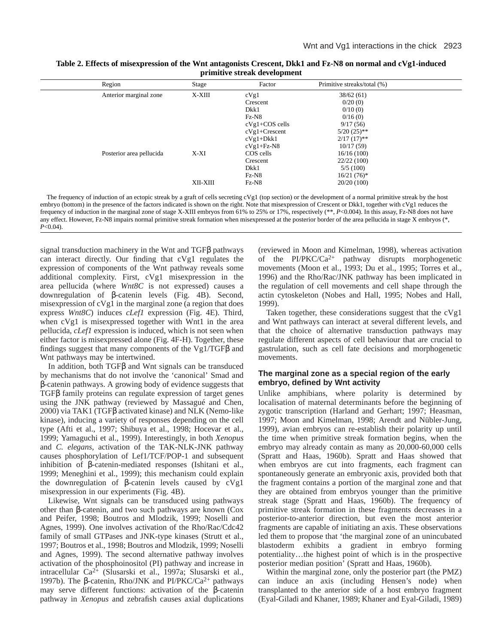| Table 2. Effects of misexpression of the Wnt antagonists Crescent, Dkk1 and Fz-N8 on normal and cVg1-induced |  |  |  |  |  |  |
|--------------------------------------------------------------------------------------------------------------|--|--|--|--|--|--|
| primitive streak development                                                                                 |  |  |  |  |  |  |

| Region                   | Stage    | Factor           | Primitive streaks/total (%) |  |
|--------------------------|----------|------------------|-----------------------------|--|
| Anterior marginal zone   | X-XIII   | cVg1             | 38/62(61)                   |  |
|                          |          | Crescent         | 0/20(0)                     |  |
|                          |          | Dkk1             | 0/10(0)                     |  |
|                          |          | $Fz-N8$          | 0/16(0)                     |  |
|                          |          | $cVg1+COS$ cells | 9/17(56)                    |  |
|                          |          | $cVg1+Crescent$  | $5/20$ (25)**               |  |
|                          |          | $cVg1+Dkk1$      | $2/17(17)$ **               |  |
|                          |          | $cVg1+Fz-N8$     | 10/17(59)                   |  |
| Posterior area pellucida | X-XI     | COS cells        | 16/16(100)                  |  |
|                          |          | Crescent         | 22/22(100)                  |  |
|                          |          | Dkk1             | 5/5(100)                    |  |
|                          |          | $Fz-N8$          | $16/21(76)^*$               |  |
|                          | XII-XIII | $Fz-N8$          | 20/20(100)                  |  |
|                          |          |                  |                             |  |

The frequency of induction of an ectopic streak by a graft of cells secreting cVg1 (top section) or the development of a normal primitive streak by the host embryo (bottom) in the presence of the factors indicated is shown on the right. Note that misexpression of Crescent or Dkk1, together with cVg1 reduces the frequency of induction in the marginal zone of stage X-XIII embryos from 61% to 25% or 17%, respectively (\*\*, *P*<0.004). In this assay, Fz-N8 does not have any effect. However, Fz-N8 impairs normal primitive streak formation when misexpressed at the posterior border of the area pellucida in stage X embryos (\*, *P*<0.04).

signal transduction machinery in the Wnt and TGFβ pathways can interact directly. Our finding that cVg1 regulates the expression of components of the Wnt pathway reveals some additional complexity. First, cVg1 misexpression in the area pellucida (where *Wnt8C* is not expressed) causes a downregulation of β-catenin levels (Fig. 4B). Second, misexpression of cVg1 in the marginal zone (a region that does express *Wnt8C*) induces *cLef1* expression (Fig. 4E). Third, when cVg1 is misexpressed together with Wnt1 in the area pellucida, *cLef1* expression is induced, which is not seen when either factor is misexpressed alone (Fig. 4F-H). Together, these findings suggest that many components of the Vg1/TGFβ and Wnt pathways may be intertwined.

In addition, both TGFβ and Wnt signals can be transduced by mechanisms that do not involve the 'canonical' Smad and β-catenin pathways. A growing body of evidence suggests that TGFβ family proteins can regulate expression of target genes using the JNK pathway (reviewed by Massagué and Chen, 2000) via TAK1 (TGFβ activated kinase) and NLK (Nemo-like kinase), inducing a variety of responses depending on the cell type (Afti et al., 1997; Shibuya et al., 1998; Hocevar et al., 1999; Yamaguchi et al., 1999). Interestingly, in both *Xenopus* and *C. elegans*, activation of the TAK-NLK-JNK pathway causes phosphorylation of Lef1/TCF/POP-1 and subsequent inhibition of β-catenin-mediated responses (Ishitani et al., 1999; Meneghini et al., 1999); this mechanism could explain the downregulation of β-catenin levels caused by cVg1 misexpression in our experiments (Fig. 4B).

Likewise, Wnt signals can be transduced using pathways other than β-catenin, and two such pathways are known (Cox and Peifer, 1998; Boutros and Mlodzik, 1999; Noselli and Agnes, 1999). One involves activation of the Rho/Rac/Cdc42 family of small GTPases and JNK-type kinases (Strutt et al., 1997; Boutros et al., 1998; Boutros and Mlodzik, 1999; Noselli and Agnes, 1999). The second alternative pathway involves activation of the phosphoinositol (PI) pathway and increase in intracellular Ca2+ (Slusarski et al., 1997a; Slusarski et al., 1997b). The β-catenin, Rho/JNK and PI/PKC/Ca<sup>2+</sup> pathways may serve different functions: activation of the β-catenin pathway in *Xenopus* and zebrafish causes axial duplications (reviewed in Moon and Kimelman, 1998), whereas activation of the  $PI/PKC/Ca^{2+}$  pathway disrupts morphogenetic movements (Moon et al., 1993; Du et al., 1995; Torres et al., 1996) and the Rho/Rac/JNK pathway has been implicated in the regulation of cell movements and cell shape through the actin cytoskeleton (Nobes and Hall, 1995; Nobes and Hall, 1999).

Taken together, these considerations suggest that the cVg1 and Wnt pathways can interact at several different levels, and that the choice of alternative transduction pathways may regulate different aspects of cell behaviour that are crucial to gastrulation, such as cell fate decisions and morphogenetic movements.

# **The marginal zone as a special region of the early embryo, defined by Wnt activity**

Unlike amphibians, where polarity is determined by localisation of maternal determinants before the beginning of zygotic transcription (Harland and Gerhart; 1997; Heasman, 1997; Moon and Kimelman, 1998; Arendt and Nübler-Jung, 1999), avian embryos can re-establish their polarity up until the time when primitive streak formation begins, when the embryo may already contain as many as 20,000-60,000 cells (Spratt and Haas, 1960b). Spratt and Haas showed that when embryos are cut into fragments, each fragment can spontaneously generate an embryonic axis, provided both that the fragment contains a portion of the marginal zone and that they are obtained from embryos younger than the primitive streak stage (Spratt and Haas, 1960b). The frequency of primitive streak formation in these fragments decreases in a posterior-to-anterior direction, but even the most anterior fragments are capable of initiating an axis. These observations led them to propose that 'the marginal zone of an unincubated blastoderm exhibits a gradient in embryo forming potentiality…the highest point of which is in the prospective posterior median position' (Spratt and Haas, 1960b).

Within the marginal zone, only the posterior part (the PMZ) can induce an axis (including Hensen's node) when transplanted to the anterior side of a host embryo fragment (Eyal-Giladi and Khaner, 1989; Khaner and Eyal-Giladi, 1989)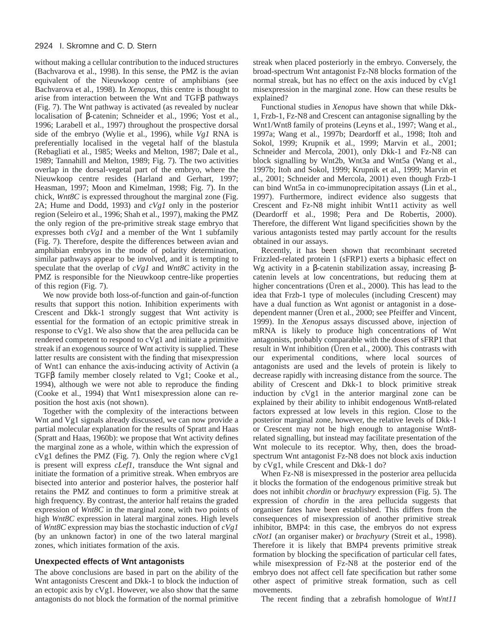without making a cellular contribution to the induced structures (Bachvarova et al., 1998). In this sense, the PMZ is the avian equivalent of the Nieuwkoop centre of amphibians (see Bachvarova et al., 1998). In *Xenopus*, this centre is thought to arise from interaction between the Wnt and TGFβ pathways (Fig. 7). The Wnt pathway is activated (as revealed by nuclear localisation of β-catenin; Schneider et al., 1996; Yost et al., 1996; Larabell et al., 1997) throughout the prospective dorsal side of the embryo (Wylie et al., 1996), while *Vg1* RNA is preferentially localised in the vegetal half of the blastula (Rebagliati et al., 1985; Weeks and Melton, 1987; Dale et al., 1989; Tannahill and Melton, 1989; Fig. 7). The two activities overlap in the dorsal-vegetal part of the embryo, where the Nieuwkoop centre resides (Harland and Gerhart, 1997; Heasman, 1997; Moon and Kimelman, 1998; Fig. 7). In the chick, *Wnt8C* is expressed throughout the marginal zone (Fig. 2A; Hume and Dodd, 1993) and *cVg1* only in the posterior region (Seleiro et al., 1996; Shah et al., 1997), making the PMZ the only region of the pre-primitive streak stage embryo that expresses both *cVg1* and a member of the Wnt 1 subfamily (Fig. 7)*.* Therefore, despite the differences between avian and amphibian embryos in the mode of polarity determination, similar pathways appear to be involved, and it is tempting to speculate that the overlap of *cVg1* and *Wnt8C* activity in the PMZ is responsible for the Nieuwkoop centre-like properties of this region (Fig. 7).

We now provide both loss-of-function and gain-of-function results that support this notion. Inhibition experiments with Crescent and Dkk-1 strongly suggest that Wnt activity is essential for the formation of an ectopic primitive streak in response to cVg1. We also show that the area pellucida can be rendered competent to respond to cVg1 and initiate a primitive streak if an exogenous source of Wnt activity is supplied. These latter results are consistent with the finding that misexpression of Wnt1 can enhance the axis-inducing activity of Activin (a TGFβ family member closely related to Vg1; Cooke et al., 1994), although we were not able to reproduce the finding (Cooke et al., 1994) that Wnt1 misexpression alone can reposition the host axis (not shown).

Together with the complexity of the interactions between Wnt and Vg1 signals already discussed, we can now provide a partial molecular explanation for the results of Spratt and Haas (Spratt and Haas, 1960b): we propose that Wnt activity defines the marginal zone as a whole, within which the expression of cVg1 defines the PMZ (Fig. 7). Only the region where cVg1 is present will express *cLef1*, transduce the Wnt signal and initiate the formation of a primitive streak. When embryos are bisected into anterior and posterior halves, the posterior half retains the PMZ and continues to form a primitive streak at high frequency. By contrast, the anterior half retains the graded expression of *Wnt8C* in the marginal zone, with two points of high *Wnt8C* expression in lateral marginal zones. High levels of *Wnt8C* expression may bias the stochastic induction of *cVg1* (by an unknown factor) in one of the two lateral marginal zones, which initiates formation of the axis.

#### **Unexpected effects of Wnt antagonists**

The above conclusions are based in part on the ability of the Wnt antagonists Crescent and Dkk-1 to block the induction of an ectopic axis by cVg1. However, we also show that the same antagonists do not block the formation of the normal primitive

streak when placed posteriorly in the embryo. Conversely, the broad-spectrum Wnt antagonist Fz-N8 blocks formation of the normal streak, but has no effect on the axis induced by cVg1 misexpression in the marginal zone. How can these results be explained?

Functional studies in *Xenopus* have shown that while Dkk-1, Frzb-1, Fz-N8 and Crescent can antagonise signalling by the Wnt1/Wnt8 family of proteins (Leyns et al., 1997; Wang et al., 1997a; Wang et al., 1997b; Deardorff et al., 1998; Itoh and Sokol, 1999; Krupnik et al., 1999; Marvin et al., 2001; Schneider and Mercola, 2001), only Dkk-1 and Fz-N8 can block signalling by Wnt2b, Wnt3a and Wnt5a (Wang et al., 1997b; Itoh and Sokol, 1999; Krupnik et al., 1999; Marvin et al., 2001; Schneider and Mercola, 2001) even though Frzb-1 can bind Wnt5a in co-immunoprecipitation assays (Lin et al., 1997). Furthermore, indirect evidence also suggests that Crescent and Fz-N8 might inhibit Wnt11 activity as well (Deardorff et al., 1998; Pera and De Robertis, 2000). Therefore, the different Wnt ligand specificities shown by the various antagonists tested may partly account for the results obtained in our assays.

Recently, it has been shown that recombinant secreted Frizzled-related protein 1 (sFRP1) exerts a biphasic effect on Wg activity in a β-catenin stabilization assay, increasing βcatenin levels at low concentrations, but reducing them at higher concentrations (Üren et al., 2000). This has lead to the idea that Frzb-1 type of molecules (including Crescent) may have a dual function as Wnt agonist or antagonist in a dosedependent manner (Üren et al., 2000; see Pfeiffer and Vincent, 1999). In the *Xenopus* assays discussed above, injection of mRNA is likely to produce high concentrations of Wnt antagonists, probably comparable with the doses of sFRP1 that result in Wnt inhibition (Üren et al., 2000). This contrasts with our experimental conditions, where local sources of antagonists are used and the levels of protein is likely to decrease rapidly with increasing distance from the source. The ability of Crescent and Dkk-1 to block primitive streak induction by cVg1 in the anterior marginal zone can be explained by their ability to inhibit endogenous Wnt8-related factors expressed at low levels in this region. Close to the posterior marginal zone, however, the relative levels of Dkk-1 or Crescent may not be high enough to antagonise Wnt8 related signalling, but instead may facilitate presentation of the Wnt molecule to its receptor. Why, then, does the broadspectrum Wnt antagonist Fz-N8 does not block axis induction by cVg1, while Crescent and Dkk-1 do?

When Fz-N8 is misexpressed in the posterior area pellucida it blocks the formation of the endogenous primitive streak but does not inhibit *chordin* or *brachyury* expression (Fig. 5). The expression of *chordin* in the area pellucida suggests that organiser fates have been established. This differs from the consequences of misexpression of another primitive streak inhibitor, BMP4: in this case, the embryos do not express *cNot1* (an organiser maker) or *brachyury* (Streit et al., 1998). Therefore it is likely that BMP4 prevents primitive streak formation by blocking the specification of particular cell fates, while misexpression of Fz-N8 at the posterior end of the embryo does not affect cell fate specification but rather some other aspect of primitive streak formation, such as cell movements.

The recent finding that a zebrafish homologue of *Wnt11*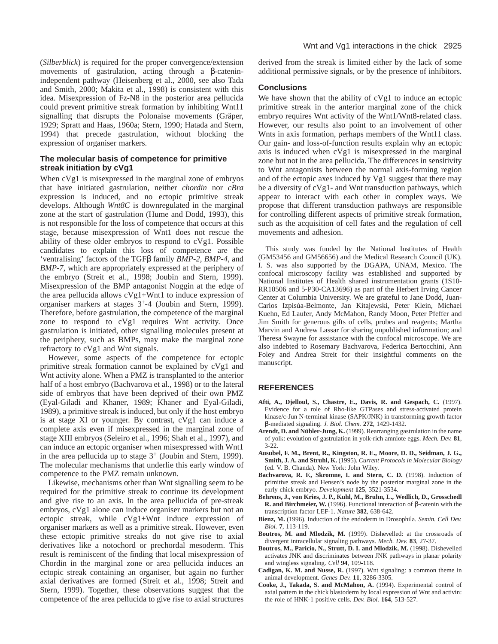(*Silberblick*) is required for the proper convergence/extension movements of gastrulation, acting through a β-cateninindependent pathway (Heisenberg et al., 2000, see also Tada and Smith, 2000; Makita et al., 1998) is consistent with this idea. Misexpression of Fz-N8 in the posterior area pellucida could prevent primitive streak formation by inhibiting Wnt11 signalling that disrupts the Polonaise movements (Gräper, 1929; Spratt and Haas, 1960a; Stern, 1990; Hatada and Stern, 1994) that precede gastrulation, without blocking the expression of organiser markers.

# **The molecular basis of competence for primitive streak initiation by cVg1**

When cVg1 is misexpressed in the marginal zone of embryos that have initiated gastrulation, neither *chordin* nor *cBra* expression is induced, and no ectopic primitive streak develops. Although *Wnt8C* is downregulated in the marginal zone at the start of gastrulation (Hume and Dodd, 1993), this is not responsible for the loss of competence that occurs at this stage, because misexpression of Wnt1 does not rescue the ability of these older embryos to respond to cVg1. Possible candidates to explain this loss of competence are the 'ventralising' factors of the TGFβ family *BMP-2, BMP-4*, and *BMP-7*, which are appropriately expressed at the periphery of the embryo (Streit et al., 1998; Joubin and Stern, 1999). Misexpression of the BMP antagonist Noggin at the edge of the area pellucida allows cVg1+Wnt1 to induce expression of organiser markers at stages 3+-4 (Joubin and Stern, 1999). Therefore, before gastrulation, the competence of the marginal zone to respond to cVg1 requires Wnt activity. Once gastrulation is initiated, other signalling molecules present at the periphery, such as BMPs, may make the marginal zone refractory to cVg1 and Wnt signals.

However, some aspects of the competence for ectopic primitive streak formation cannot be explained by cVg1 and Wnt activity alone. When a PMZ is transplanted to the anterior half of a host embryo (Bachvarova et al., 1998) or to the lateral side of embryos that have been deprived of their own PMZ (Eyal-Giladi and Khaner, 1989; Khaner and Eyal-Giladi, 1989), a primitive streak is induced, but only if the host embryo is at stage XI or younger. By contrast, cVg1 can induce a complete axis even if misexpressed in the marginal zone of stage XIII embryos (Seleiro et al., 1996; Shah et al., 1997), and can induce an ectopic organiser when misexpressed with Wnt1 in the area pellucida up to stage  $3^+$  (Joubin and Stern, 1999). The molecular mechanisms that underlie this early window of competence to the PMZ remain unknown.

Likewise, mechanisms other than Wnt signalling seem to be required for the primitive streak to continue its development and give rise to an axis. In the area pellucida of pre-streak embryos, cVg1 alone can induce organiser markers but not an ectopic streak, while cVg1+Wnt induce expression of organiser markers as well as a primitive streak. However, even these ectopic primitive streaks do not give rise to axial derivatives like a notochord or prechordal mesoderm. This result is reminiscent of the finding that local misexpression of Chordin in the marginal zone or area pellucida induces an ectopic streak containing an organiser, but again no further axial derivatives are formed (Streit et al., 1998; Streit and Stern, 1999). Together, these observations suggest that the competence of the area pellucida to give rise to axial structures

derived from the streak is limited either by the lack of some additional permissive signals, or by the presence of inhibitors.

#### **Conclusions**

We have shown that the ability of cVg1 to induce an ectopic primitive streak in the anterior marginal zone of the chick embryo requires Wnt activity of the Wnt1/Wnt8-related class. However, our results also point to an involvement of other Wnts in axis formation, perhaps members of the Wnt11 class. Our gain- and loss-of-function results explain why an ectopic axis is induced when cVg1 is misexpressed in the marginal zone but not in the area pellucida. The differences in sensitivity to Wnt antagonists between the normal axis-forming region and of the ectopic axes induced by Vg1 suggest that there may be a diversity of cVg1- and Wnt transduction pathways, which appear to interact with each other in complex ways. We propose that different transduction pathways are responsible for controlling different aspects of primitive streak formation, such as the acquisition of cell fates and the regulation of cell movements and adhesion.

This study was funded by the National Institutes of Health (GM53456 and GM56656) and the Medical Research Council (UK). I. S. was also supported by the DGAPA, UNAM, Mexico. The confocal microscopy facility was established and supported by National Institutes of Health shared instrumentation grants (1S10- RR10506 and 5-P30-CA13696) as part of the Herbert Irving Cancer Center at Columbia University. We are grateful to Jane Dodd, Juan-Carlos Izpisúa-Belmonte, Jan Kitajewski, Peter Klein, Michael Kuehn, Ed Laufer, Andy McMahon, Randy Moon, Peter Pfeffer and Jim Smith for generous gifts of cells, probes and reagents; Martha Marvin and Andrew Lassar for sharing unpublished information; and Theresa Swayne for assistance with the confocal microscope. We are also indebted to Rosemary Bachvarova, Federica Bertocchini, Ann Foley and Andrea Streit for their insightful comments on the manuscript.

# **REFERENCES**

- **Afti, A., Djelloul, S., Chastre, E., Davis, R. and Gespach, C.** (1997). Evidence for a role of Rho-like GTPases and stress-activated protein kinase/c-Jun N-terminal kinase (SAPK/JNK) in transforming growth factor β-mediated signaling. *J. Biol. Chem.* **272**, 1429-1432.
- **Arendt, D. and Nübler-Jung, K.** (1999). Rearranging gastrulation in the name of yolk: evolution of gastrulation in yolk-rich amniote eggs. *Mech. Dev.* **81**, 3-22.
- **Ausubel, F. M., Brent, R., Kingston, R. E., Moore, D. D., Seidman, J. G., Smith, J. A. and Struhl, K.** (1995). *Current Protocols in Molecular Biology* (ed. V. B. Chanda). New York: John Wiley.
- **Bachvarova, R. F., Skromne, I. and Stern, C. D.** (1998). Induction of primitive streak and Hensen's node by the posterior marginal zone in the early chick embryo. *Development* **125**, 3521-3534.
- **Behrens, J., von Kries, J. P., Kuhl, M., Bruhn, L., Wedlich, D., Grosschedl R. and Birchmeier, W.** (1996). Functional interaction of β-catenin with the transcription factor LEF-1. *Nature* **382**, 638-642.
- **Bienz, M.** (1996). Induction of the endoderm in Drosophila. *Semin. Cell Dev. Biol.* **7**, 113-119.
- **Boutros, M. and Mlodzik, M.** (1999). Dishevelled: at the crossroads of divergent intracellular signaling pathways. *Mech. Dev.* **83**, 27-37.
- **Boutros, M., Paricio, N., Strutt, D. I. and Mlodzik, M.** (1998). Dishevelled activates JNK and discriminates between JNK pathways in planar polarity and wingless signaling. *Cell* **94**, 109-118.
- **Cadigan, K. M. and Nusse, R.** (1997). Wnt signaling: a common theme in animal development. *Genes Dev.* **11**, 3286-3305.
- **Cooke, J., Takada, S. and McMahon, A.** (1994). Experimental control of axial pattern in the chick blastoderm by local expression of Wnt and activin: the role of HNK-1 positive cells. *Dev. Biol.* **164**, 513-527.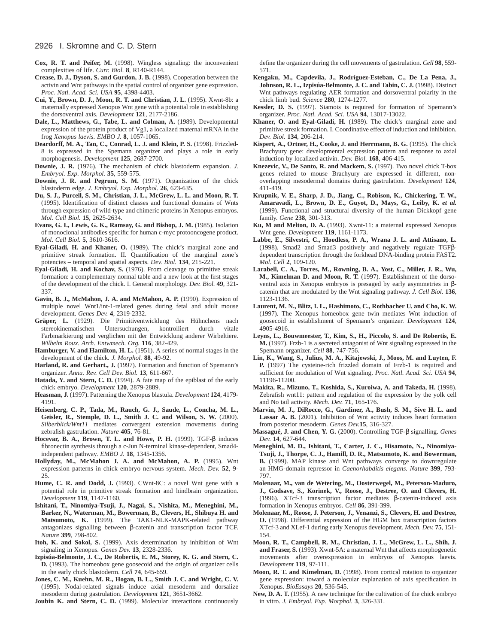#### 2926 I. Skromne and C. D. Stern

- **Cox, R. T. and Peifer, M.** (1998). Wingless signaling: the inconvenient complexities of life. *Curr. Biol.* **8**, R140-R144.
- **Crease, D. J., Dyson, S. and Gurdon, J. B.** (1998). Cooperation between the activin and Wnt pathways in the spatial control of organizer gene expression. *Proc. Natl. Acad. Sci. USA* **95**, 4398-4403.
- **Cui, Y., Brown, D. J., Moon, R. T. and Christian, J. L.** (1995). Xwnt-8b: a maternally expressed Xenopus Wnt gene with a potential role in establishing the dorsoventral axis. *Development* **121**, 2177-2186.
- **Dale, L., Matthews, G., Tabe, L. and Colman, A.** (1989). Developmental expression of the protein product of Vg1, a localized maternal mRNA in the frog *Xenopus laevis. EMBO J.* **8**, 1057-1065.
- **Deardorff, M. A., Tan, C., Conrad, L. J. and Klein, P. S.** (1998). Frizzled-8 is expressed in the Spemann organizer and plays a role in early morphogenesis. *Development* **125**, 2687-2700.
- **Downie, J. R.** (1976). The mechanism of chick blastoderm expansion. *J. Embryol. Exp. Morphol.* **35**, 559-575.
- **Downie, J. R. and Pegrum, S. M.** (1971). Organization of the chick blastoderm edge. *J. Embryol. Exp. Morphol.* **26**, 623-635.
- **Du, S. J., Purcell, S. M., Christian, J. L., McGrew, L. L. and Moon, R. T.** (1995). Identification of distinct classes and functional domains of Wnts through expression of wild-type and chimeric proteins in Xenopus embryos. *Mol. Cell Biol.* **15**, 2625-2634.
- **Evans, G. I., Lewis, G. K., Ramsay, G. and Bishop, J. M.** (1985). Isolation of monoclonal antibodies specific for human c-myc protooncogene product. *Mol. Cell Biol.* **5**, 3610-3616.
- **Eyal-Giladi, H. and Khaner, O.** (1989). The chick's marginal zone and primitive streak formation. II. Quantification of the marginal zone's potencies – temporal and spatial aspects. *Dev. Biol.* **134**, 215-221.
- **Eyal-Giladi, H. and Kochav, S.** (1976). From cleavage to primitive streak formation: a complementary normal table and a new look at the first stages of the development of the chick. I. General morphology. *Dev. Biol.* **49**, 321- 337.
- **Gavin, B. J., McMahon, J. A. and McMahon, A. P.** (1990). Expression of multiple novel Wnt1/int-1-related genes during fetal and adult mouse development. *Genes Dev.* **4**, 2319-2332.
- **Gräper, L.** (1929). Die Primitiventwicklung des Hühnchens nach stereokinematischen Untersuchungen, kontrolliert durch vitale Farbmarkierung und verglichen mit der Entwicklung anderer Wirbeltiere. *Wilhelm Roux. Arch. Entwmech. Org.* **116**, 382-429.
- **Hamburger, V. and Hamilton, H. L.** (1951). A series of normal stages in the development of the chick. *J. Morphol.* **88**, 49-92.
- Harland, R. and Gerhart., J. (1997). Formation and function of Spemann's organizer. *Annu. Rev. Cell Dev. Biol.* **13**, 611-667.
- **Hatada, Y. and Stern, C. D.** (1994). A fate map of the epiblast of the early chick embryo. *Development* **120**, 2879-2889.
- **Heasman, J.** (1997). Patterning the Xenopus blastula. *Development* **124**, 4179- 4191.
- **Heisenberg, C. P., Tada, M., Rauch, G. J., Saude, L., Concha, M. L., Geisler, R., Stemple, D. L., Smith J. C. and Wilson, S. W.** (2000). *Silberblick/Wnt11* mediates convergent extension movements during zebrafish gastrulation. *Nature* **405**, 76-81.
- **Hocevar, B. A., Brown, T. L. and Howe, P. H.** (1999). TGF-β induces fibronectin synthesis through a c-Jun N-terminal kinase-dependent, Smad4 independent pathway. *EMBO J.* **18**, 1345-1356.
- **Hollyday, M., McMahon J. A. and McMahon, A. P.** (1995). Wnt expression patterns in chick embryo nervous system. *Mech. Dev.* **52**, 9- 25.
- **Hume, C. R. and Dodd, J.** (1993). CWnt-8C: a novel Wnt gene with a potential role in primitive streak formation and hindbrain organization. *Development* **119**, 1147-1160.
- **Ishitani, T., Ninomiya-Tsuji, J., Nagai, S., Nishita, M., Meneghini, M., Barker, N., Waterman, M., Bowerman, B., Clevers, H., Shibuya H. and Matsumoto, K.** (1999). The TAK1-NLK-MAPK-related pathway antagonizes signalling between β-catenin and transcription factor TCF. *Nature* **399**, 798-802.
- **Itoh, K. and Sokol, S.** (1999). Axis determination by inhibition of Wnt signaling in Xenopus. *Genes Dev.* **13**, 2328-2336.
- **Izpisúa-Belmonte, J. C., De Robertis, E. M., Storey, K. G. and Stern, C. D.** (1993). The homeobox gene goosecoid and the origin of organizer cells in the early chick blastoderm. *Cell* **74**, 645-659.
- **Jones, C. M., Kuehn, M. R., Hogan, B. L., Smith J. C. and Wright, C. V.** (1995). Nodal-related signals induce axial mesoderm and dorsalize mesoderm during gastrulation. *Development* **121**, 3651-3662.

**Joubin K. and Stern, C. D.** (1999). Molecular interactions continuously

define the organizer during the cell movements of gastrulation. *Cell* **98**, 559- 571.

- **Kengaku, M., Capdevila, J., Rodríguez-Esteban, C., De La Pena, J., Johnson, R. L., Izpisúa-Belmonte, J. C. and Tabin, C. J.** (1998). Distinct Wnt pathways regulating AER formation and dorsoventral polarity in the chick limb bud. *Science* **280**, 1274-1277.
- **Kessler, D. S.** (1997). Siamois is required for formation of Spemann's organizer. *Proc. Natl. Acad. Sci. USA* **94**, 13017-13022.
- **Khaner, O. and Eyal-Giladi, H.** (1989). The chick's marginal zone and primitive streak formation. I. Coordinative effect of induction and inhibition. *Dev. Biol.* **134**, 206-214.
- **Kispert, A., Ortner, H., Cooke, J. and Herrmann, B. G.** (1995). The chick Brachyury gene: developmental expression pattern and response to axial induction by localized activin. *Dev. Biol.* **168**, 406-415.
- **Knezevic, V., De Santo, R. and Mackem, S.** (1997). Two novel chick T-box genes related to mouse Brachyury are expressed in different, nonoverlapping mesodermal domains during gastrulation. *Development* **124**, 411-419.
- **Krupnik, V. E., Sharp, J. D., Jiang, C., Robison, K., Chickering, T. W., Amaravadi, L., Brown, D. E., Guyot, D., Mays, G., Leiby, K.** *et al.* (1999). Functional and structural diversity of the human Dickkopf gene family. *Gene* **238**, 301-313.
- **Ku, M and Melton, D. A.** (1993). Xwnt-11: a maternal expressed Xenopus Wnt gene. *Development* **119**, 1161-1173.
- **Labbe, E., Silvestri, C., Hoodless, P. A., Wrana J. L. and Attisano, L.** (1998). Smad2 and Smad3 positively and negatively regulate TGFβdependent transcription through the forkhead DNA-binding protein FAST2. *Mol. Cell* **2**, 109-120.
- **Larabell, C. A., Torres, M., Rowning, B. A., Yost, C., Miller, J. R., Wu, M., Kimelman D. and Moon, R. T.** (1997). Establishment of the dorsoventral axis in Xenopus embryos is presaged by early asymmetries in βcatenin that are modulated by the Wnt signaling pathway. *J. Cell Biol.* **136**, 1123-1136.
- **Laurent, M. N., Blitz, I. L., Hashimoto, C., Rothbacher U. and Cho, K. W.** (1997). The Xenopus homeobox gene twin mediates Wnt induction of goosecoid in establishment of Spemann's organizer. *Development* **124**, 4905-4916.
- **Leyns, L., Bouwmeester, T., Kim, S., H., Piccolo, S. and De Robertis, E. M.** (1997). Frzb-1 is a secreted antagonist of Wnt signaling expressed in the Spemann organizer. *Cell* **88**, 747-756.
- **Lin, K., Wang, S., Julius, M. A., Kitajewski, J., Moos, M. and Luyten, F. P.** (1997) The cysteine-rich frizzled domain of Frzb-1 is required and sufficient for modulation of Wnt signaling. *Proc. Natl. Acad. Sci. USA* **94**, 11196-11200.
- **Makita, R., Mizuno, T., Koshida, S., Kuroiwa, A. and Takeda, H.** (1998). Zebrafish wnt11: pattern and regulation of the expression by the yolk cell and No tail activity. *Mech. Dev.* **71**, 165-176.
- **Marvin, M. J., DiRocco, G., Gardiner, A., Bush, S. M., Sive H. L. and Lassar A. B.** (2001). Inhibition of Wnt activity induces heart formation from posterior mesoderm. *Genes Dev.***15**, 316-327.
- **Massagué, J. and Chen, Y. G.** (2000). Controlling TGF-β signalling. *Genes Dev.* **14**, 627-644.
- **Meneghini, M. D., Ishitani, T., Carter, J. C., Hisamoto, N., Ninomiya-Tsuji, J., Thorpe, C. J., Hamill, D. R., Matsumoto, K. and Bowerman, B.** (1999). MAP kinase and Wnt pathways converge to downregulate an HMG-domain repressor in *Caenorhabditis elegans. Nature* **399**, 793- 797.
- **Molenaar, M., van de Wetering, M., Oosterwegel, M., Peterson-Maduro, J., Godsave, S., Korinek, V., Roose, J., Destree, O. and Clevers, H.** (1996). XTcf-3 transcription factor mediates β-catenin-induced axis formation in Xenopus embryos. *Cell* **86**, 391-399.
- **Molenaar, M., Roose, J. Peterson, J., Venanzi, S., Clevers, H. and Destree, O.** (1998). Differential expression of the HGM box transcription factors XTcf-3 and XLef-1 during early Xenopus development. *Mech. Dev.* **75**, 151- 154.
- **Moon, R. T., Campbell, R. M., Christian, J. L., McGrew, L. L., Shih, J. and Fraser, S.** (1993). Xwnt-5A: a maternal Wnt that affects morphogenetic movements after overexpression in embryos of Xenopus laevis. *Development* **119**, 97-111.
- **Moon, R. T. and Kimelman, D.** (1998). From cortical rotation to organizer gene expression: toward a molecular explanation of axis specification in Xenopus. *BioEssays* **20**, 536-545.
- **New, D. A. T.** (1955). A new technique for the cultivation of the chick embryo in vitro. *J. Embryol. Exp. Morphol.* **3**, 326-331.